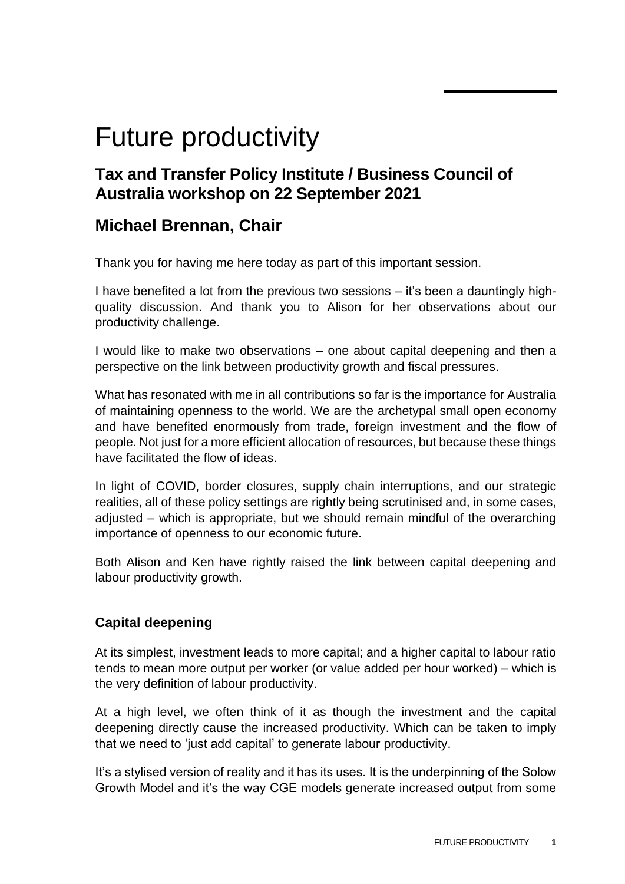# Future productivity

## **Tax and Transfer Policy Institute / Business Council of Australia workshop on 22 September 2021**

## **Michael Brennan, Chair**

Thank you for having me here today as part of this important session.

I have benefited a lot from the previous two sessions – it's been a dauntingly highquality discussion. And thank you to Alison for her observations about our productivity challenge.

I would like to make two observations – one about capital deepening and then a perspective on the link between productivity growth and fiscal pressures.

What has resonated with me in all contributions so far is the importance for Australia of maintaining openness to the world. We are the archetypal small open economy and have benefited enormously from trade, foreign investment and the flow of people. Not just for a more efficient allocation of resources, but because these things have facilitated the flow of ideas.

In light of COVID, border closures, supply chain interruptions, and our strategic realities, all of these policy settings are rightly being scrutinised and, in some cases, adjusted – which is appropriate, but we should remain mindful of the overarching importance of openness to our economic future.

Both Alison and Ken have rightly raised the link between capital deepening and labour productivity growth.

### **Capital deepening**

At its simplest, investment leads to more capital; and a higher capital to labour ratio tends to mean more output per worker (or value added per hour worked) – which is the very definition of labour productivity.

At a high level, we often think of it as though the investment and the capital deepening directly cause the increased productivity. Which can be taken to imply that we need to 'just add capital' to generate labour productivity.

It's a stylised version of reality and it has its uses. It is the underpinning of the Solow Growth Model and it's the way CGE models generate increased output from some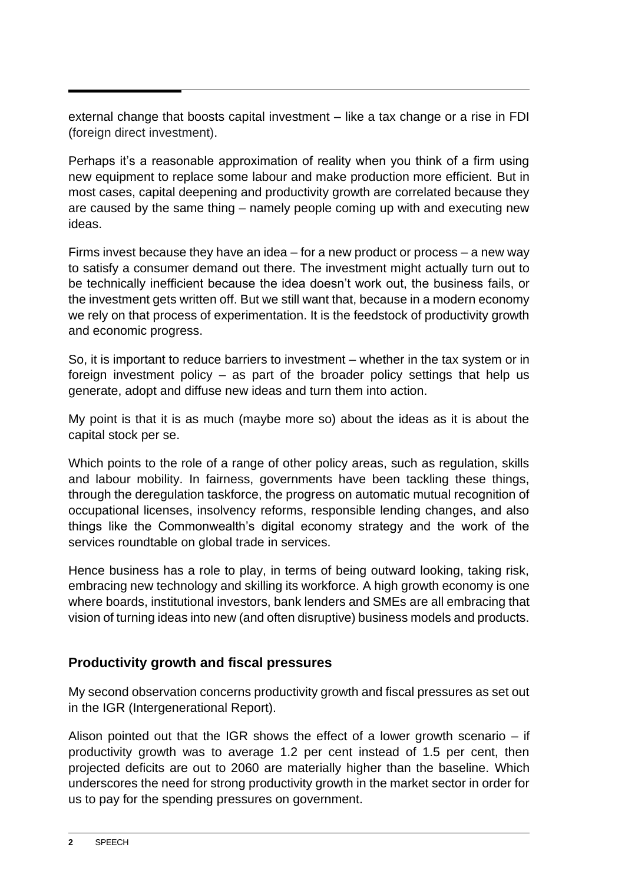external change that boosts capital investment – like a tax change or a rise in FDI (foreign direct investment).

Perhaps it's a reasonable approximation of reality when you think of a firm using new equipment to replace some labour and make production more efficient. But in most cases, capital deepening and productivity growth are correlated because they are caused by the same thing – namely people coming up with and executing new ideas.

Firms invest because they have an idea – for a new product or process – a new way to satisfy a consumer demand out there. The investment might actually turn out to be technically inefficient because the idea doesn't work out, the business fails, or the investment gets written off. But we still want that, because in a modern economy we rely on that process of experimentation. It is the feedstock of productivity growth and economic progress.

So, it is important to reduce barriers to investment – whether in the tax system or in foreign investment policy – as part of the broader policy settings that help us generate, adopt and diffuse new ideas and turn them into action.

My point is that it is as much (maybe more so) about the ideas as it is about the capital stock per se.

Which points to the role of a range of other policy areas, such as regulation, skills and labour mobility. In fairness, governments have been tackling these things, through the deregulation taskforce, the progress on automatic mutual recognition of occupational licenses, insolvency reforms, responsible lending changes, and also things like the Commonwealth's digital economy strategy and the work of the services roundtable on global trade in services.

Hence business has a role to play, in terms of being outward looking, taking risk, embracing new technology and skilling its workforce. A high growth economy is one where boards, institutional investors, bank lenders and SMEs are all embracing that vision of turning ideas into new (and often disruptive) business models and products.

#### **Productivity growth and fiscal pressures**

My second observation concerns productivity growth and fiscal pressures as set out in the IGR (Intergenerational Report).

Alison pointed out that the IGR shows the effect of a lower growth scenario – if productivity growth was to average 1.2 per cent instead of 1.5 per cent, then projected deficits are out to 2060 are materially higher than the baseline. Which underscores the need for strong productivity growth in the market sector in order for us to pay for the spending pressures on government.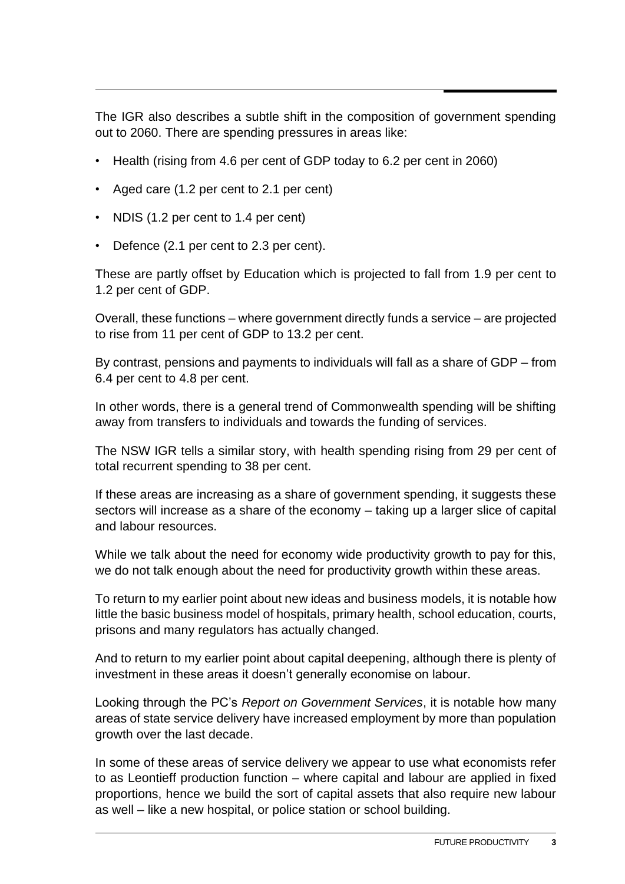The IGR also describes a subtle shift in the composition of government spending out to 2060. There are spending pressures in areas like:

- Health (rising from 4.6 per cent of GDP today to 6.2 per cent in 2060)
- Aged care (1.2 per cent to 2.1 per cent)
- NDIS (1.2 per cent to 1.4 per cent)
- Defence (2.1 per cent to 2.3 per cent).

These are partly offset by Education which is projected to fall from 1.9 per cent to 1.2 per cent of GDP.

Overall, these functions – where government directly funds a service – are projected to rise from 11 per cent of GDP to 13.2 per cent.

By contrast, pensions and payments to individuals will fall as a share of GDP – from 6.4 per cent to 4.8 per cent.

In other words, there is a general trend of Commonwealth spending will be shifting away from transfers to individuals and towards the funding of services.

The NSW IGR tells a similar story, with health spending rising from 29 per cent of total recurrent spending to 38 per cent.

If these areas are increasing as a share of government spending, it suggests these sectors will increase as a share of the economy – taking up a larger slice of capital and labour resources.

While we talk about the need for economy wide productivity growth to pay for this, we do not talk enough about the need for productivity growth within these areas.

To return to my earlier point about new ideas and business models, it is notable how little the basic business model of hospitals, primary health, school education, courts, prisons and many regulators has actually changed.

And to return to my earlier point about capital deepening, although there is plenty of investment in these areas it doesn't generally economise on labour.

Looking through the PC's *Report on Government Services*, it is notable how many areas of state service delivery have increased employment by more than population growth over the last decade.

In some of these areas of service delivery we appear to use what economists refer to as Leontieff production function – where capital and labour are applied in fixed proportions, hence we build the sort of capital assets that also require new labour as well – like a new hospital, or police station or school building.